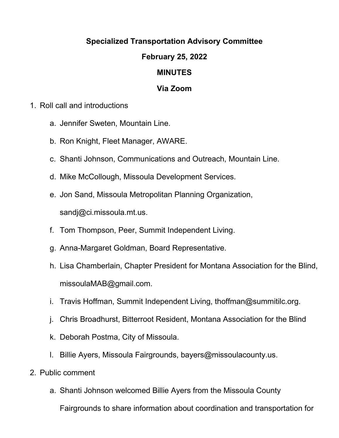## **Specialized Transportation Advisory Committee**

## **February 25, 2022**

## **MINUTES**

## **Via Zoom**

- 1. Roll call and introductions
	- a. Jennifer Sweten, Mountain Line.
	- b. Ron Knight, Fleet Manager, AWARE.
	- c. Shanti Johnson, Communications and Outreach, Mountain Line.
	- d. Mike McCollough, Missoula Development Services.
	- e. Jon Sand, Missoula Metropolitan Planning Organization, sandj@ci.missoula.mt.us.
	- f. Tom Thompson, Peer, Summit Independent Living.
	- g. Anna-Margaret Goldman, Board Representative.
	- h. Lisa Chamberlain, Chapter President for Montana Association for the Blind, missoulaMAB@gmail.com.
	- i. Travis Hoffman, Summit Independent Living, thoffman@summitilc.org.
	- j. Chris Broadhurst, Bitterroot Resident, Montana Association for the Blind
	- k. Deborah Postma, City of Missoula.
	- l. Billie Ayers, Missoula Fairgrounds, bayers@missoulacounty.us.
- 2. Public comment
	- a. Shanti Johnson welcomed Billie Ayers from the Missoula County

Fairgrounds to share information about coordination and transportation for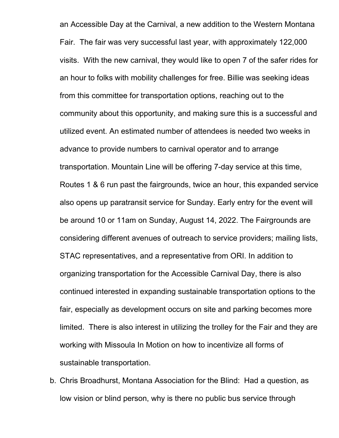an Accessible Day at the Carnival, a new addition to the Western Montana Fair. The fair was very successful last year, with approximately 122,000 visits. With the new carnival, they would like to open 7 of the safer rides for an hour to folks with mobility challenges for free. Billie was seeking ideas from this committee for transportation options, reaching out to the community about this opportunity, and making sure this is a successful and utilized event. An estimated number of attendees is needed two weeks in advance to provide numbers to carnival operator and to arrange transportation. Mountain Line will be offering 7-day service at this time, Routes 1 & 6 run past the fairgrounds, twice an hour, this expanded service also opens up paratransit service for Sunday. Early entry for the event will be around 10 or 11am on Sunday, August 14, 2022. The Fairgrounds are considering different avenues of outreach to service providers; mailing lists, STAC representatives, and a representative from ORI. In addition to organizing transportation for the Accessible Carnival Day, there is also continued interested in expanding sustainable transportation options to the fair, especially as development occurs on site and parking becomes more limited. There is also interest in utilizing the trolley for the Fair and they are working with Missoula In Motion on how to incentivize all forms of sustainable transportation.

b. Chris Broadhurst, Montana Association for the Blind: Had a question, as low vision or blind person, why is there no public bus service through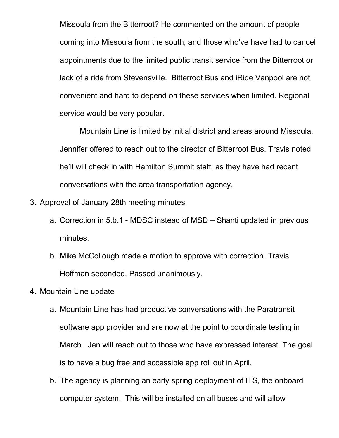Missoula from the Bitterroot? He commented on the amount of people coming into Missoula from the south, and those who've have had to cancel appointments due to the limited public transit service from the Bitterroot or lack of a ride from Stevensville. Bitterroot Bus and iRide Vanpool are not convenient and hard to depend on these services when limited. Regional service would be very popular.

Mountain Line is limited by initial district and areas around Missoula. Jennifer offered to reach out to the director of Bitterroot Bus. Travis noted he'll will check in with Hamilton Summit staff, as they have had recent conversations with the area transportation agency.

- 3. Approval of January 28th meeting minutes
	- a. Correction in 5.b.1 MDSC instead of MSD Shanti updated in previous minutes.
	- b. Mike McCollough made a motion to approve with correction. Travis Hoffman seconded. Passed unanimously.
- 4. Mountain Line update
	- a. Mountain Line has had productive conversations with the Paratransit software app provider and are now at the point to coordinate testing in March. Jen will reach out to those who have expressed interest. The goal is to have a bug free and accessible app roll out in April.
	- b. The agency is planning an early spring deployment of ITS, the onboard computer system. This will be installed on all buses and will allow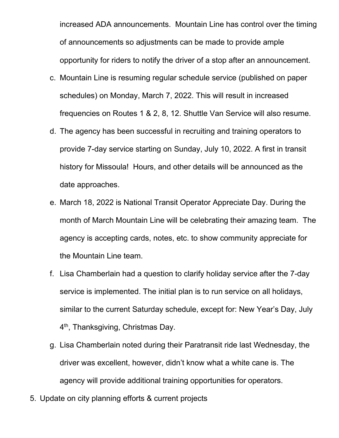increased ADA announcements. Mountain Line has control over the timing of announcements so adjustments can be made to provide ample opportunity for riders to notify the driver of a stop after an announcement.

- c. Mountain Line is resuming regular schedule service (published on paper schedules) on Monday, March 7, 2022. This will result in increased frequencies on Routes 1 & 2, 8, 12. Shuttle Van Service will also resume.
- d. The agency has been successful in recruiting and training operators to provide 7-day service starting on Sunday, July 10, 2022. A first in transit history for Missoula! Hours, and other details will be announced as the date approaches.
- e. March 18, 2022 is National Transit Operator Appreciate Day. During the month of March Mountain Line will be celebrating their amazing team. The agency is accepting cards, notes, etc. to show community appreciate for the Mountain Line team.
- f. Lisa Chamberlain had a question to clarify holiday service after the 7-day service is implemented. The initial plan is to run service on all holidays, similar to the current Saturday schedule, except for: New Year's Day, July 4<sup>th</sup>, Thanksgiving, Christmas Day.
- g. Lisa Chamberlain noted during their Paratransit ride last Wednesday, the driver was excellent, however, didn't know what a white cane is. The agency will provide additional training opportunities for operators.
- 5. Update on city planning efforts & current projects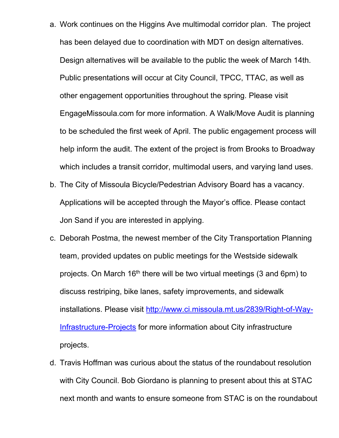- a. Work continues on the Higgins Ave multimodal corridor plan. The project has been delayed due to coordination with MDT on design alternatives. Design alternatives will be available to the public the week of March 14th. Public presentations will occur at City Council, TPCC, TTAC, as well as other engagement opportunities throughout the spring. Please visit EngageMissoula.com for more information. A Walk/Move Audit is planning to be scheduled the first week of April. The public engagement process will help inform the audit. The extent of the project is from Brooks to Broadway which includes a transit corridor, multimodal users, and varying land uses.
- b. The City of Missoula Bicycle/Pedestrian Advisory Board has a vacancy. Applications will be accepted through the Mayor's office. Please contact Jon Sand if you are interested in applying.
- c. Deborah Postma, the newest member of the City Transportation Planning team, provided updates on public meetings for the Westside sidewalk projects. On March  $16<sup>th</sup>$  there will be two virtual meetings (3 and 6pm) to discuss restriping, bike lanes, safety improvements, and sidewalk installations. Please visit [http://www.ci.missoula.mt.us/2839/Right-of-Way-](http://www.ci.missoula.mt.us/2839/Right-of-Way-Infrastructure-Projects)[Infrastructure-Projects](http://www.ci.missoula.mt.us/2839/Right-of-Way-Infrastructure-Projects) for more information about City infrastructure projects.
- d. Travis Hoffman was curious about the status of the roundabout resolution with City Council. Bob Giordano is planning to present about this at STAC next month and wants to ensure someone from STAC is on the roundabout